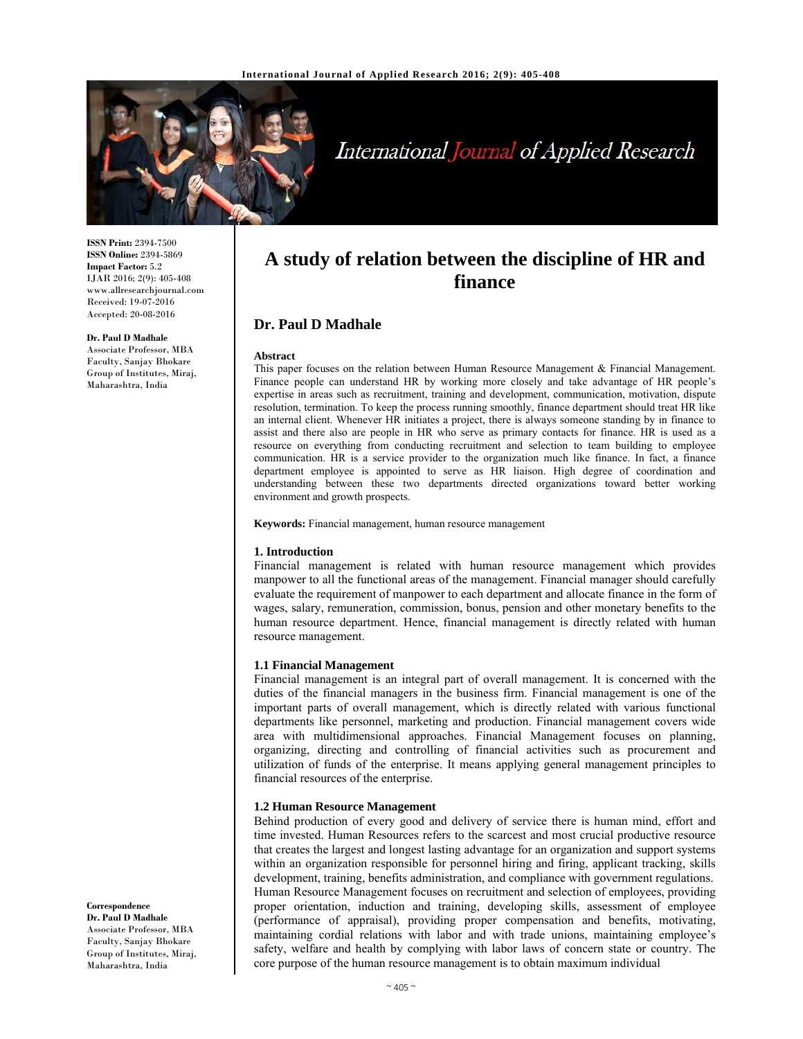

# International Journal of Applied Research

**ISSN Print:** 2394-7500 **ISSN Online:** 2394-5869 **Impact Factor:** 5.2 IJAR 2016; 2(9): 405-408 www.allresearchjournal.com Received: 19-07-2016 Accepted: 20-08-2016

#### **Dr. Paul D Madhale**

Associate Professor, MBA Faculty, Sanjay Bhokare Group of Institutes, Miraj, Maharashtra, India

# **A study of relation between the discipline of HR and finance**

# **Dr. Paul D Madhale**

#### **Abstract**

This paper focuses on the relation between Human Resource Management & Financial Management. Finance people can understand HR by working more closely and take advantage of HR people's expertise in areas such as recruitment, training and development, communication, motivation, dispute resolution, termination. To keep the process running smoothly, finance department should treat HR like an internal client. Whenever HR initiates a project, there is always someone standing by in finance to assist and there also are people in HR who serve as primary contacts for finance. HR is used as a resource on everything from conducting recruitment and selection to team building to employee communication. HR is a service provider to the organization much like finance. In fact, a finance department employee is appointed to serve as HR liaison. High degree of coordination and understanding between these two departments directed organizations toward better working environment and growth prospects.

**Keywords:** Financial management, human resource management

#### **1. Introduction**

Financial management is related with human resource management which provides manpower to all the functional areas of the management. Financial manager should carefully evaluate the requirement of manpower to each department and allocate finance in the form of wages, salary, remuneration, commission, bonus, pension and other monetary benefits to the human resource department. Hence, financial management is directly related with human resource management.

#### **1.1 Financial Management**

Financial management is an integral part of overall management. It is concerned with the duties of the financial managers in the business firm. Financial management is one of the important parts of overall management, which is directly related with various functional departments like personnel, marketing and production. Financial management covers wide area with multidimensional approaches. Financial Management focuses on planning, organizing, directing and controlling of financial activities such as procurement and utilization of funds of the enterprise. It means applying general management principles to financial resources of the enterprise.

#### **1.2 Human Resource Management**

Behind production of every good and delivery of service there is human mind, effort and time invested. Human Resources refers to the scarcest and most crucial productive resource that creates the largest and longest lasting advantage for an organization and support systems within an organization responsible for personnel hiring and firing, applicant tracking, skills development, training, benefits administration, and compliance with government regulations. Human Resource Management focuses on recruitment and selection of employees, providing proper orientation, induction and training, developing skills, assessment of employee (performance of appraisal), providing proper compensation and benefits, motivating, maintaining cordial relations with labor and with trade unions, maintaining employee's safety, welfare and health by complying with labor laws of concern state or country. The core purpose of the human resource management is to obtain maximum individual

#### **Correspondence**

**Dr. Paul D Madhale**  Associate Professor, MBA Faculty, Sanjay Bhokare Group of Institutes, Miraj, Maharashtra, India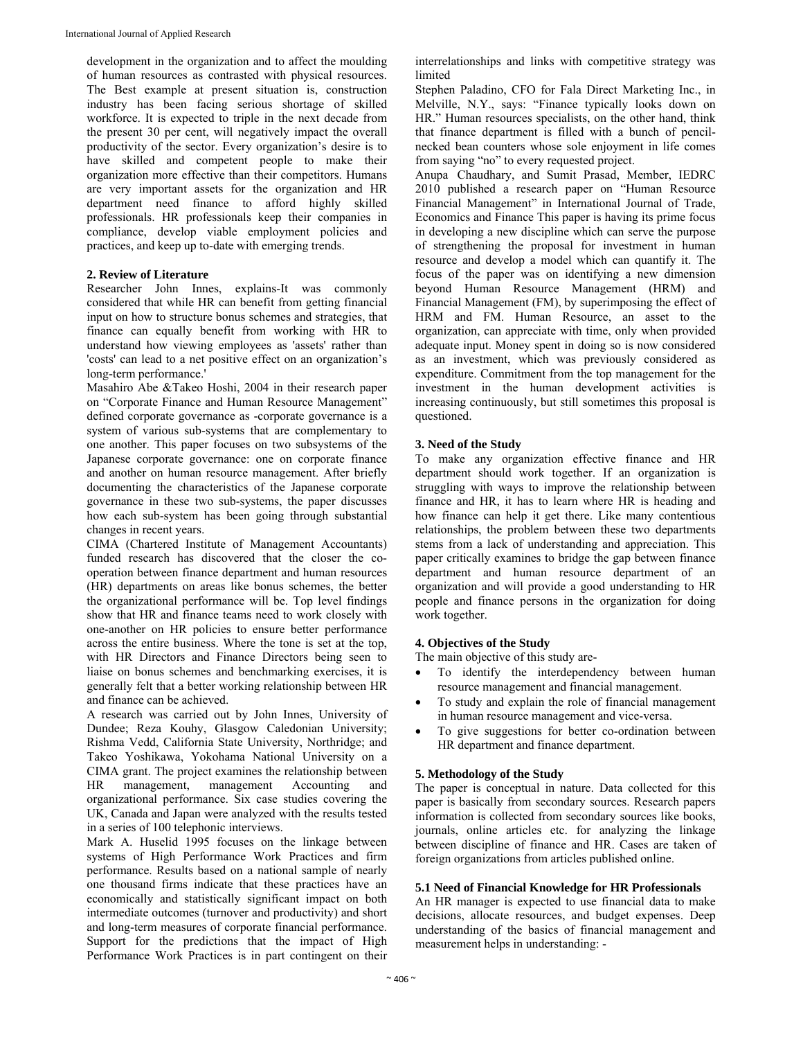development in the organization and to affect the moulding of human resources as contrasted with physical resources. The Best example at present situation is, construction industry has been facing serious shortage of skilled workforce. It is expected to triple in the next decade from the present 30 per cent, will negatively impact the overall productivity of the sector. Every organization's desire is to have skilled and competent people to make their organization more effective than their competitors. Humans are very important assets for the organization and HR department need finance to afford highly skilled professionals. HR professionals keep their companies in compliance, develop viable employment policies and practices, and keep up to-date with emerging trends.

### **2. Review of Literature**

Researcher John Innes, explains-It was commonly considered that while HR can benefit from getting financial input on how to structure bonus schemes and strategies, that finance can equally benefit from working with HR to understand how viewing employees as 'assets' rather than 'costs' can lead to a net positive effect on an organization's long-term performance.'

Masahiro Abe &Takeo Hoshi, 2004 in their research paper on "Corporate Finance and Human Resource Management" defined corporate governance as -corporate governance is a system of various sub-systems that are complementary to one another. This paper focuses on two subsystems of the Japanese corporate governance: one on corporate finance and another on human resource management. After briefly documenting the characteristics of the Japanese corporate governance in these two sub-systems, the paper discusses how each sub-system has been going through substantial changes in recent years.

CIMA (Chartered Institute of Management Accountants) funded research has discovered that the closer the cooperation between finance department and human resources (HR) departments on areas like bonus schemes, the better the organizational performance will be. Top level findings show that HR and finance teams need to work closely with one-another on HR policies to ensure better performance across the entire business. Where the tone is set at the top, with HR Directors and Finance Directors being seen to liaise on bonus schemes and benchmarking exercises, it is generally felt that a better working relationship between HR and finance can be achieved.

A research was carried out by John Innes, University of Dundee; Reza Kouhy, Glasgow Caledonian University; Rishma Vedd, California State University, Northridge; and Takeo Yoshikawa, Yokohama National University on a CIMA grant. The project examines the relationship between HR management, management Accounting and organizational performance. Six case studies covering the UK, Canada and Japan were analyzed with the results tested in a series of 100 telephonic interviews.

Mark A. Huselid 1995 focuses on the linkage between systems of High Performance Work Practices and firm performance. Results based on a national sample of nearly one thousand firms indicate that these practices have an economically and statistically significant impact on both intermediate outcomes (turnover and productivity) and short and long-term measures of corporate financial performance. Support for the predictions that the impact of High Performance Work Practices is in part contingent on their

interrelationships and links with competitive strategy was limited

Stephen Paladino, CFO for Fala Direct Marketing Inc., in Melville, N.Y., says: "Finance typically looks down on HR." Human resources specialists, on the other hand, think that finance department is filled with a bunch of pencilnecked bean counters whose sole enjoyment in life comes from saying "no" to every requested project.

Anupa Chaudhary, and Sumit Prasad, Member, IEDRC 2010 published a research paper on "Human Resource Financial Management" in International Journal of Trade, Economics and Finance This paper is having its prime focus in developing a new discipline which can serve the purpose of strengthening the proposal for investment in human resource and develop a model which can quantify it. The focus of the paper was on identifying a new dimension beyond Human Resource Management (HRM) and Financial Management (FM), by superimposing the effect of HRM and FM. Human Resource, an asset to the organization, can appreciate with time, only when provided adequate input. Money spent in doing so is now considered as an investment, which was previously considered as expenditure. Commitment from the top management for the investment in the human development activities is increasing continuously, but still sometimes this proposal is questioned.

#### **3. Need of the Study**

To make any organization effective finance and HR department should work together. If an organization is struggling with ways to improve the relationship between finance and HR, it has to learn where HR is heading and how finance can help it get there. Like many contentious relationships, the problem between these two departments stems from a lack of understanding and appreciation. This paper critically examines to bridge the gap between finance department and human resource department of an organization and will provide a good understanding to HR people and finance persons in the organization for doing work together.

#### **4. Objectives of the Study**

The main objective of this study are-

- To identify the interdependency between human resource management and financial management.
- To study and explain the role of financial management in human resource management and vice-versa.
- To give suggestions for better co-ordination between HR department and finance department.

#### **5. Methodology of the Study**

The paper is conceptual in nature. Data collected for this paper is basically from secondary sources. Research papers information is collected from secondary sources like books, journals, online articles etc. for analyzing the linkage between discipline of finance and HR. Cases are taken of foreign organizations from articles published online.

#### **5.1 Need of Financial Knowledge for HR Professionals**

An HR manager is expected to use financial data to make decisions, allocate resources, and budget expenses. Deep understanding of the basics of financial management and measurement helps in understanding: -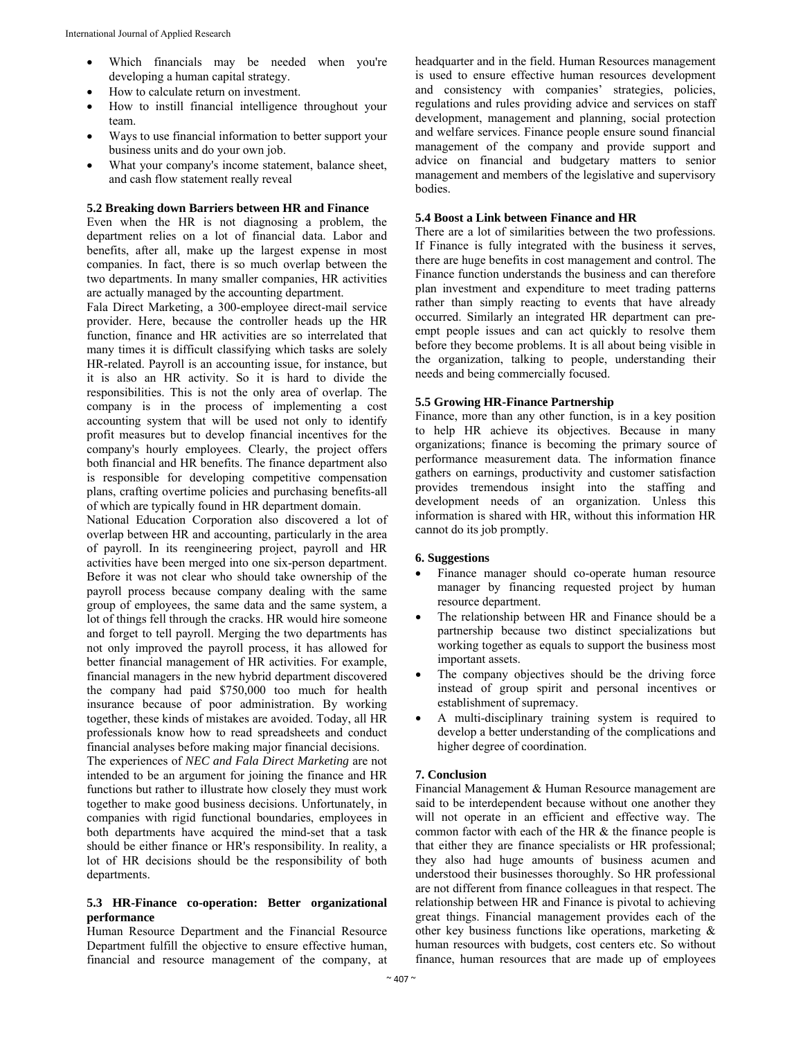- Which financials may be needed when you're developing a human capital strategy.
- How to calculate return on investment.
- How to instill financial intelligence throughout your team.
- Ways to use financial information to better support your business units and do your own job.
- What your company's income statement, balance sheet, and cash flow statement really reveal

# **5.2 Breaking down Barriers between HR and Finance**

Even when the HR is not diagnosing a problem, the department relies on a lot of financial data. Labor and benefits, after all, make up the largest expense in most companies. In fact, there is so much overlap between the two departments. In many smaller companies, HR activities are actually managed by the accounting department.

Fala Direct Marketing, a 300-employee direct-mail service provider. Here, because the controller heads up the HR function, finance and HR activities are so interrelated that many times it is difficult classifying which tasks are solely HR-related. Payroll is an accounting issue, for instance, but it is also an HR activity. So it is hard to divide the responsibilities. This is not the only area of overlap. The company is in the process of implementing a cost accounting system that will be used not only to identify profit measures but to develop financial incentives for the company's hourly employees. Clearly, the project offers both financial and HR benefits. The finance department also is responsible for developing competitive compensation plans, crafting overtime policies and purchasing benefits-all of which are typically found in HR department domain.

National Education Corporation also discovered a lot of overlap between HR and accounting, particularly in the area of payroll. In its reengineering project, payroll and HR activities have been merged into one six-person department. Before it was not clear who should take ownership of the payroll process because company dealing with the same group of employees, the same data and the same system, a lot of things fell through the cracks. HR would hire someone and forget to tell payroll. Merging the two departments has not only improved the payroll process, it has allowed for better financial management of HR activities. For example, financial managers in the new hybrid department discovered the company had paid \$750,000 too much for health insurance because of poor administration. By working together, these kinds of mistakes are avoided. Today, all HR professionals know how to read spreadsheets and conduct financial analyses before making major financial decisions.

The experiences of *NEC and Fala Direct Marketing* are not intended to be an argument for joining the finance and HR functions but rather to illustrate how closely they must work together to make good business decisions. Unfortunately, in companies with rigid functional boundaries, employees in both departments have acquired the mind-set that a task should be either finance or HR's responsibility. In reality, a lot of HR decisions should be the responsibility of both departments.

#### **5.3 HR-Finance co-operation: Better organizational performance**

Human Resource Department and the Financial Resource Department fulfill the objective to ensure effective human, financial and resource management of the company, at headquarter and in the field. Human Resources management is used to ensure effective human resources development and consistency with companies' strategies, policies, regulations and rules providing advice and services on staff development, management and planning, social protection and welfare services. Finance people ensure sound financial management of the company and provide support and advice on financial and budgetary matters to senior management and members of the legislative and supervisory bodies.

#### **5.4 Boost a Link between Finance and HR**

There are a lot of similarities between the two professions. If Finance is fully integrated with the business it serves, there are huge benefits in cost management and control. The Finance function understands the business and can therefore plan investment and expenditure to meet trading patterns rather than simply reacting to events that have already occurred. Similarly an integrated HR department can preempt people issues and can act quickly to resolve them before they become problems. It is all about being visible in the organization, talking to people, understanding their needs and being commercially focused.

#### **5.5 Growing HR-Finance Partnership**

Finance, more than any other function, is in a key position to help HR achieve its objectives. Because in many organizations; finance is becoming the primary source of performance measurement data. The information finance gathers on earnings, productivity and customer satisfaction provides tremendous insight into the staffing and development needs of an organization. Unless this information is shared with HR, without this information HR cannot do its job promptly.

#### **6. Suggestions**

- Finance manager should co-operate human resource manager by financing requested project by human resource department.
- The relationship between HR and Finance should be a partnership because two distinct specializations but working together as equals to support the business most important assets.
- The company objectives should be the driving force instead of group spirit and personal incentives or establishment of supremacy.
- A multi-disciplinary training system is required to develop a better understanding of the complications and higher degree of coordination.

#### **7. Conclusion**

Financial Management & Human Resource management are said to be interdependent because without one another they will not operate in an efficient and effective way. The common factor with each of the HR & the finance people is that either they are finance specialists or HR professional; they also had huge amounts of business acumen and understood their businesses thoroughly. So HR professional are not different from finance colleagues in that respect. The relationship between HR and Finance is pivotal to achieving great things. Financial management provides each of the other key business functions like operations, marketing & human resources with budgets, cost centers etc. So without finance, human resources that are made up of employees